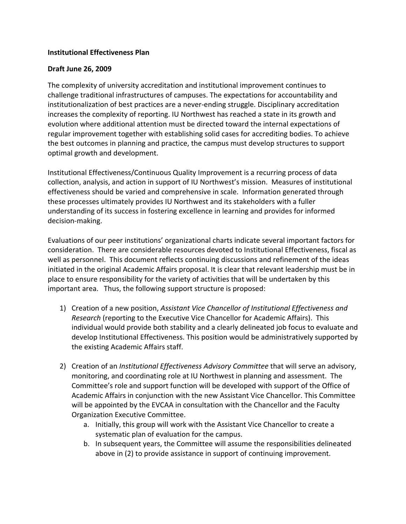## **Institutional Effectiveness Plan**

## **Draft June 26, 2009**

The complexity of university accreditation and institutional improvement continues to challenge traditional infrastructures of campuses. The expectations for accountability and institutionalization of best practices are a never-ending struggle. Disciplinary accreditation increases the complexity of reporting. IU Northwest has reached a state in its growth and evolution where additional attention must be directed toward the internal expectations of regular improvement together with establishing solid cases for accrediting bodies. To achieve the best outcomes in planning and practice, the campus must develop structures to support optimal growth and development.

Institutional Effectiveness/Continuous Quality Improvement is a recurring process of data collection, analysis, and action in support of IU Northwest's mission. Measures of institutional effectiveness should be varied and comprehensive in scale. Information generated through these processes ultimately provides IU Northwest and its stakeholders with a fuller understanding of its success in fostering excellence in learning and provides for informed decision-making.

Evaluations of our peer institutions' organizational charts indicate several important factors for consideration. There are considerable resources devoted to Institutional Effectiveness, fiscal as well as personnel. This document reflects continuing discussions and refinement of the ideas initiated in the original Academic Affairs proposal. It is clear that relevant leadership must be in place to ensure responsibility for the variety of activities that will be undertaken by this important area. Thus, the following support structure is proposed:

- 1) Creation of a new position, *Assistant Vice Chancellor of Institutional Effectiveness and Research* (reporting to the Executive Vice Chancellor for Academic Affairs). This individual would provide both stability and a clearly delineated job focus to evaluate and develop Institutional Effectiveness. This position would be administratively supported by the existing Academic Affairs staff.
- 2) Creation of an *Institutional Effectiveness Advisory Committee* that will serve an advisory, monitoring, and coordinating role at IU Northwest in planning and assessment. The Committee's role and support function will be developed with support of the Office of Academic Affairs in conjunction with the new Assistant Vice Chancellor. This Committee will be appointed by the EVCAA in consultation with the Chancellor and the Faculty Organization Executive Committee.
	- a. Initially, this group will work with the Assistant Vice Chancellor to create a systematic plan of evaluation for the campus.
	- b. In subsequent years, the Committee will assume the responsibilities delineated above in (2) to provide assistance in support of continuing improvement.